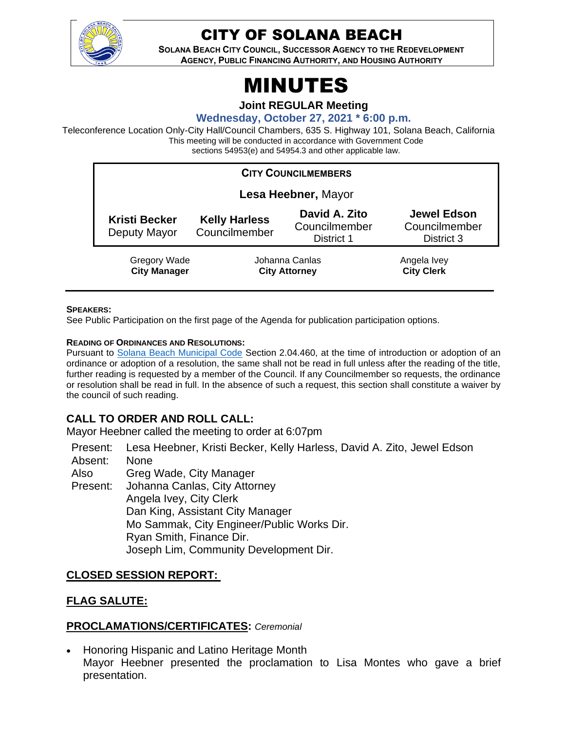

# CITY OF SOLANA BEACH

**SOLANA BEACH CITY COUNCIL, SUCCESSOR AGENCY TO THE REDEVELOPMENT AGENCY, PUBLIC FINANCING AUTHORITY, AND HOUSING AUTHORITY** 

# MINUTES

**Joint REGULAR Meeting**

**Wednesday, October 27, 2021 \* 6:00 p.m.**

Teleconference Location Only-City Hall/Council Chambers, 635 S. Highway 101, Solana Beach, California This meeting will be conducted in accordance with Government Code sections 54953(e) and 54954.3 and other applicable law.

| <b>CITY COUNCILMEMBERS</b>           |                                        |                                              |                                                   |
|--------------------------------------|----------------------------------------|----------------------------------------------|---------------------------------------------------|
| Lesa Heebner, Mayor                  |                                        |                                              |                                                   |
| <b>Kristi Becker</b><br>Deputy Mayor | <b>Kelly Harless</b><br>Councilmember  | David A. Zito<br>Councilmember<br>District 1 | <b>Jewel Edson</b><br>Councilmember<br>District 3 |
| Gregory Wade<br><b>City Manager</b>  | Johanna Canlas<br><b>City Attorney</b> |                                              | Angela Ivey<br><b>City Clerk</b>                  |

#### **SPEAKERS:**

See Public Participation on the first page of the Agenda for publication participation options.

#### **READING OF ORDINANCES AND RESOLUTIONS:**

Pursuant to [Solana Beach Municipal Code](https://www.codepublishing.com/CA/SolanaBeach/) Section 2.04.460, at the time of introduction or adoption of an ordinance or adoption of a resolution, the same shall not be read in full unless after the reading of the title, further reading is requested by a member of the Council. If any Councilmember so requests, the ordinance or resolution shall be read in full. In the absence of such a request, this section shall constitute a waiver by the council of such reading.

# **CALL TO ORDER AND ROLL CALL:**

Mayor Heebner called the meeting to order at 6:07pm

Present: Lesa Heebner, Kristi Becker, Kelly Harless, David A. Zito, Jewel Edson Absent: None

Also Greg Wade, City Manager

Present: Johanna Canlas, City Attorney Angela Ivey, City Clerk Dan King, Assistant City Manager Mo Sammak, City Engineer/Public Works Dir. Ryan Smith, Finance Dir. Joseph Lim, Community Development Dir.

#### **CLOSED SESSION REPORT:**

#### **FLAG SALUTE:**

#### **PROCLAMATIONS/CERTIFICATES:** *Ceremonial*

• Honoring Hispanic and Latino Heritage Month Mayor Heebner presented the proclamation to Lisa Montes who gave a brief presentation.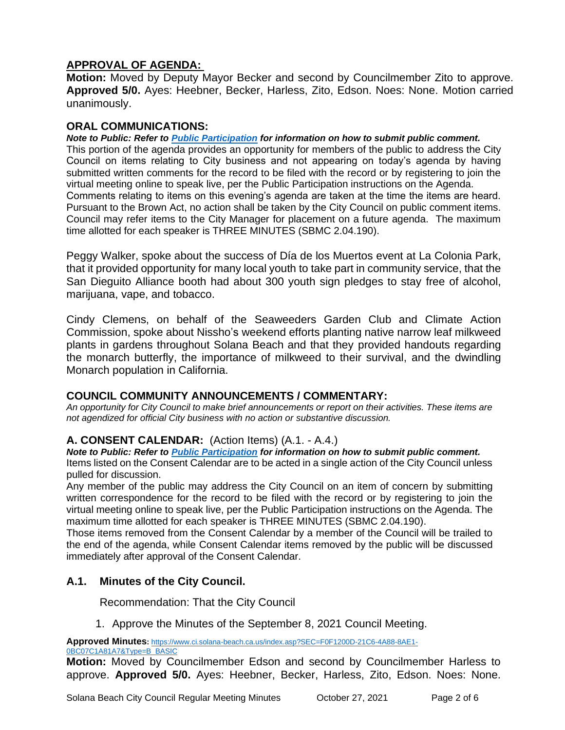# **APPROVAL OF AGENDA:**

**Motion:** Moved by Deputy Mayor Becker and second by Councilmember Zito to approve. **Approved 5/0.** Ayes: Heebner, Becker, Harless, Zito, Edson. Noes: None. Motion carried unanimously.

## **ORAL COMMUNICATIONS:**

*Note to Public: Refer to Public Participation for information on how to submit public comment.*  This portion of the agenda provides an opportunity for members of the public to address the City Council on items relating to City business and not appearing on today's agenda by having submitted written comments for the record to be filed with the record or by registering to join the virtual meeting online to speak live, per the Public Participation instructions on the Agenda. Comments relating to items on this evening's agenda are taken at the time the items are heard. Pursuant to the Brown Act, no action shall be taken by the City Council on public comment items. Council may refer items to the City Manager for placement on a future agenda. The maximum time allotted for each speaker is THREE MINUTES (SBMC 2.04.190).

Peggy Walker, spoke about the success of Día de los Muertos event at La Colonia Park, that it provided opportunity for many local youth to take part in community service, that the San Dieguito Alliance booth had about 300 youth sign pledges to stay free of alcohol, marijuana, vape, and tobacco.

Cindy Clemens, on behalf of the Seaweeders Garden Club and Climate Action Commission, spoke about Nissho's weekend efforts planting native narrow leaf milkweed plants in gardens throughout Solana Beach and that they provided handouts regarding the monarch butterfly, the importance of milkweed to their survival, and the dwindling Monarch population in California.

# **COUNCIL COMMUNITY ANNOUNCEMENTS / COMMENTARY:**

*An opportunity for City Council to make brief announcements or report on their activities. These items are not agendized for official City business with no action or substantive discussion.* 

#### **A. CONSENT CALENDAR:** (Action Items) (A.1. - A.4.)

*Note to Public: Refer to Public Participation for information on how to submit public comment.*  Items listed on the Consent Calendar are to be acted in a single action of the City Council unless pulled for discussion.

Any member of the public may address the City Council on an item of concern by submitting written correspondence for the record to be filed with the record or by registering to join the virtual meeting online to speak live, per the Public Participation instructions on the Agenda. The maximum time allotted for each speaker is THREE MINUTES (SBMC 2.04.190).

Those items removed from the Consent Calendar by a member of the Council will be trailed to the end of the agenda, while Consent Calendar items removed by the public will be discussed immediately after approval of the Consent Calendar.

# **A.1. Minutes of the City Council.**

Recommendation: That the City Council

1. Approve the Minutes of the September 8, 2021 Council Meeting.

**Approved Minutes:** [https://www.ci.solana-beach.ca.us/index.asp?SEC=F0F1200D-21C6-4A88-8AE1-](https://www.ci.solana-beach.ca.us/index.asp?SEC=F0F1200D-21C6-4A88-8AE1-0BC07C1A81A7&Type=B_BASIC) [0BC07C1A81A7&Type=B\\_BASIC](https://www.ci.solana-beach.ca.us/index.asp?SEC=F0F1200D-21C6-4A88-8AE1-0BC07C1A81A7&Type=B_BASIC)

**Motion:** Moved by Councilmember Edson and second by Councilmember Harless to approve. **Approved 5/0.** Ayes: Heebner, Becker, Harless, Zito, Edson. Noes: None.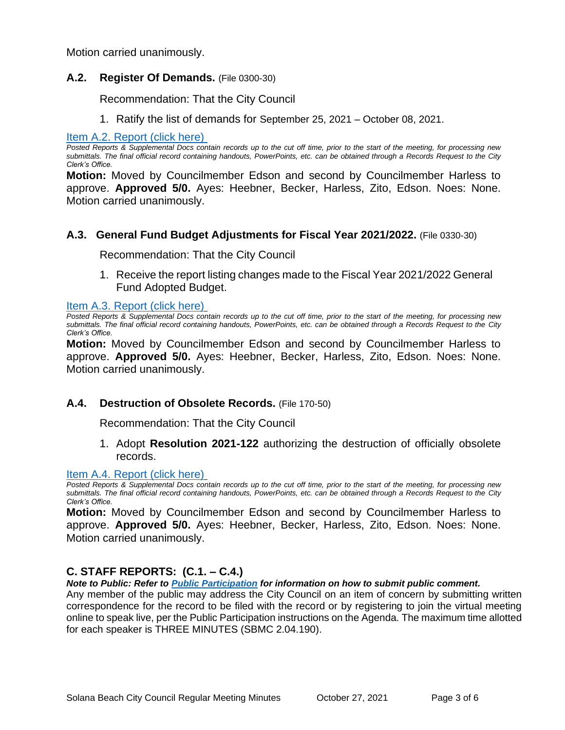Motion carried unanimously.

#### **A.2. Register Of Demands.** (File 0300-30)

Recommendation: That the City Council

1. Ratify the list of demands for September 25, 2021 – October 08, 2021.

[Item A.2. Report \(click here\)](https://solanabeach.govoffice3.com/vertical/Sites/%7B840804C2-F869-4904-9AE3-720581350CE7%7D/uploads/Item_A.2._Report_(click_here)_-_10-27-21_O.pdf) 

*Posted Reports & Supplemental Docs contain records up to the cut off time, prior to the start of the meeting, for processing new submittals. The final official record containing handouts, PowerPoints, etc. can be obtained through a Records Request to the City Clerk's Office.*

**Motion:** Moved by Councilmember Edson and second by Councilmember Harless to approve. **Approved 5/0.** Ayes: Heebner, Becker, Harless, Zito, Edson. Noes: None. Motion carried unanimously.

#### **A.3. General Fund Budget Adjustments for Fiscal Year 2021/2022.** (File 0330-30)

Recommendation: That the City Council

1. Receive the report listing changes made to the Fiscal Year 2021/2022 General Fund Adopted Budget.

[Item A.3. Report \(click here\)](https://solanabeach.govoffice3.com/vertical/Sites/%7B840804C2-F869-4904-9AE3-720581350CE7%7D/uploads/Item_A.3._Report_(click_here)_-_10-27-21_O.pdf)

*Posted Reports & Supplemental Docs contain records up to the cut off time, prior to the start of the meeting, for processing new submittals. The final official record containing handouts, PowerPoints, etc. can be obtained through a Records Request to the City Clerk's Office.*

**Motion:** Moved by Councilmember Edson and second by Councilmember Harless to approve. **Approved 5/0.** Ayes: Heebner, Becker, Harless, Zito, Edson. Noes: None. Motion carried unanimously.

#### **A.4. Destruction of Obsolete Records.** (File 170-50)

Recommendation: That the City Council

1. Adopt **Resolution 2021-122** authorizing the destruction of officially obsolete records.

#### [Item A.4. Report \(click here\)](https://solanabeach.govoffice3.com/vertical/Sites/%7B840804C2-F869-4904-9AE3-720581350CE7%7D/uploads/Item_A.4._Report_(click_here)_-_10-27-21_O.pdf)

*Posted Reports & Supplemental Docs contain records up to the cut off time, prior to the start of the meeting, for processing new submittals. The final official record containing handouts, PowerPoints, etc. can be obtained through a Records Request to the City Clerk's Office.*

**Motion:** Moved by Councilmember Edson and second by Councilmember Harless to approve. **Approved 5/0.** Ayes: Heebner, Becker, Harless, Zito, Edson. Noes: None. Motion carried unanimously.

#### **C. STAFF REPORTS: (C.1. – C.4.)**

*Note to Public: Refer to Public Participation for information on how to submit public comment.* 

Any member of the public may address the City Council on an item of concern by submitting written correspondence for the record to be filed with the record or by registering to join the virtual meeting online to speak live, per the Public Participation instructions on the Agenda. The maximum time allotted for each speaker is THREE MINUTES (SBMC 2.04.190).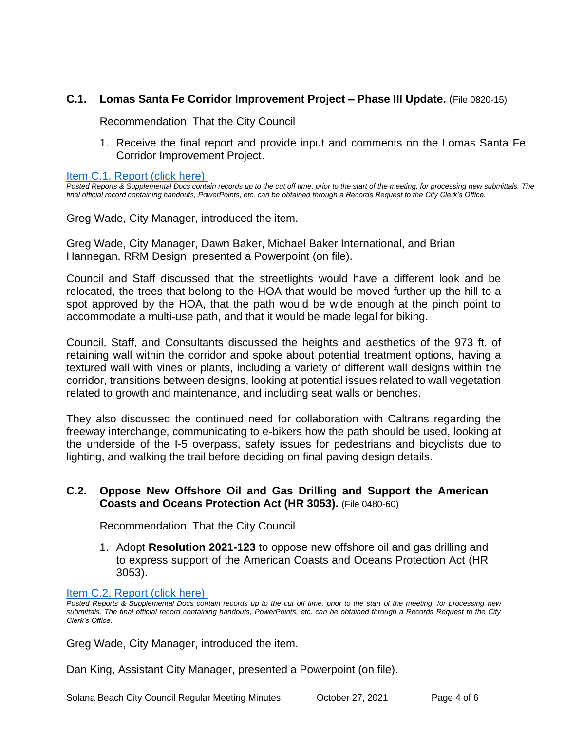#### **C.1. Lomas Santa Fe Corridor Improvement Project – Phase III Update.** (File 0820-15)

Recommendation: That the City Council

1. Receive the final report and provide input and comments on the Lomas Santa Fe Corridor Improvement Project.

[Item C.1. Report \(click here\)](https://solanabeach.govoffice3.com/vertical/Sites/%7B840804C2-F869-4904-9AE3-720581350CE7%7D/uploads/Item_C.1._Report_(click_here)_-_10-27-21_O.pdf)

*Posted Reports & Supplemental Docs contain records up to the cut off time, prior to the start of the meeting, for processing new submittals. The final official record containing handouts, PowerPoints, etc. can be obtained through a Records Request to the City Clerk's Office.*

Greg Wade, City Manager, introduced the item.

Greg Wade, City Manager, Dawn Baker, Michael Baker International, and Brian Hannegan, RRM Design, presented a Powerpoint (on file).

Council and Staff discussed that the streetlights would have a different look and be relocated, the trees that belong to the HOA that would be moved further up the hill to a spot approved by the HOA, that the path would be wide enough at the pinch point to accommodate a multi-use path, and that it would be made legal for biking.

Council, Staff, and Consultants discussed the heights and aesthetics of the 973 ft. of retaining wall within the corridor and spoke about potential treatment options, having a textured wall with vines or plants, including a variety of different wall designs within the corridor, transitions between designs, looking at potential issues related to wall vegetation related to growth and maintenance, and including seat walls or benches.

They also discussed the continued need for collaboration with Caltrans regarding the freeway interchange, communicating to e-bikers how the path should be used, looking at the underside of the I-5 overpass, safety issues for pedestrians and bicyclists due to lighting, and walking the trail before deciding on final paving design details.

## **C.2. Oppose New Offshore Oil and Gas Drilling and Support the American Coasts and Oceans Protection Act (HR 3053).** (File 0480-60)

Recommendation: That the City Council

1. Adopt **Resolution 2021-123** to oppose new offshore oil and gas drilling and to express support of the American Coasts and Oceans Protection Act (HR 3053).

#### [Item C.2. Report](https://solanabeach.govoffice3.com/vertical/Sites/%7B840804C2-F869-4904-9AE3-720581350CE7%7D/uploads/Item_C.2._Report_(click_here)_-_10-27-21_O.pdf) (click here)

*Posted Reports & Supplemental Docs contain records up to the cut off time, prior to the start of the meeting, for processing new submittals. The final official record containing handouts, PowerPoints, etc. can be obtained through a Records Request to the City Clerk's Office.*

Greg Wade, City Manager, introduced the item.

Dan King, Assistant City Manager, presented a Powerpoint (on file).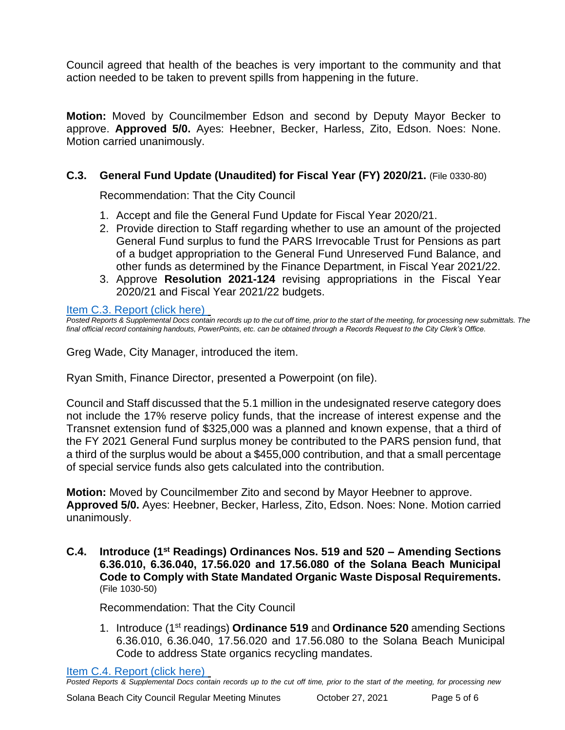Council agreed that health of the beaches is very important to the community and that action needed to be taken to prevent spills from happening in the future.

**Motion:** Moved by Councilmember Edson and second by Deputy Mayor Becker to approve. **Approved 5/0.** Ayes: Heebner, Becker, Harless, Zito, Edson. Noes: None. Motion carried unanimously.

# **C.3. General Fund Update (Unaudited) for Fiscal Year (FY) 2020/21.** (File 0330-80)

Recommendation: That the City Council

- 1. Accept and file the General Fund Update for Fiscal Year 2020/21.
- 2. Provide direction to Staff regarding whether to use an amount of the projected General Fund surplus to fund the PARS Irrevocable Trust for Pensions as part of a budget appropriation to the General Fund Unreserved Fund Balance, and other funds as determined by the Finance Department, in Fiscal Year 2021/22.
- 3. Approve **Resolution 2021-124** revising appropriations in the Fiscal Year 2020/21 and Fiscal Year 2021/22 budgets.

[Item C.3. Report \(click here\)](https://solanabeach.govoffice3.com/vertical/Sites/%7B840804C2-F869-4904-9AE3-720581350CE7%7D/uploads/Item_C.3._Report_(click_here)_-_10-27-21_O.pdf) 

*Posted Reports & Supplemental Docs contain records up to the cut off time, prior to the start of the meeting, for processing new submittals. The final official record containing handouts, PowerPoints, etc. can be obtained through a Records Request to the City Clerk's Office.*

Greg Wade, City Manager, introduced the item.

Ryan Smith, Finance Director, presented a Powerpoint (on file).

Council and Staff discussed that the 5.1 million in the undesignated reserve category does not include the 17% reserve policy funds, that the increase of interest expense and the Transnet extension fund of \$325,000 was a planned and known expense, that a third of the FY 2021 General Fund surplus money be contributed to the PARS pension fund, that a third of the surplus would be about a \$455,000 contribution, and that a small percentage of special service funds also gets calculated into the contribution.

**Motion:** Moved by Councilmember Zito and second by Mayor Heebner to approve. **Approved 5/0.** Ayes: Heebner, Becker, Harless, Zito, Edson. Noes: None. Motion carried unanimously.

**C.4. Introduce (1st Readings) Ordinances Nos. 519 and 520 – Amending Sections 6.36.010, 6.36.040, 17.56.020 and 17.56.080 of the Solana Beach Municipal Code to Comply with State Mandated Organic Waste Disposal Requirements.** (File 1030-50)

Recommendation: That the City Council

1. Introduce (1st readings) **Ordinance 519** and **Ordinance 520** amending Sections 6.36.010, 6.36.040, 17.56.020 and 17.56.080 to the Solana Beach Municipal Code to address State organics recycling mandates.

[Item C.4. Report \(click here\)](https://solanabeach.govoffice3.com/vertical/Sites/%7B840804C2-F869-4904-9AE3-720581350CE7%7D/uploads/Item_C.4._Report_(click_here)_-_10-27-21_O.pdf) 

*Posted Reports & Supplemental Docs contain records up to the cut off time, prior to the start of the meeting, for processing new*